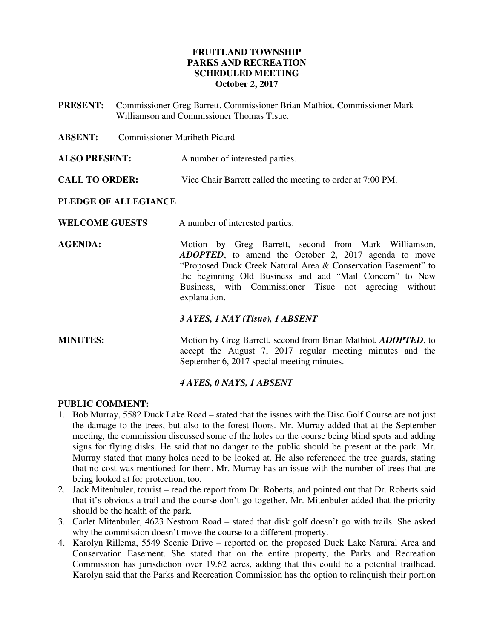### **FRUITLAND TOWNSHIP PARKS AND RECREATION SCHEDULED MEETING October 2, 2017**

- **PRESENT:** Commissioner Greg Barrett, Commissioner Brian Mathiot, Commissioner Mark Williamson and Commissioner Thomas Tisue.
- **ABSENT:** Commissioner Maribeth Picard
- **ALSO PRESENT:** A number of interested parties.
- **CALL TO ORDER:** Vice Chair Barrett called the meeting to order at 7:00 PM.

#### **PLEDGE OF ALLEGIANCE**

- **WELCOME GUESTS** A number of interested parties.
- AGENDA: Motion by Greg Barrett, second from Mark Williamson, *ADOPTED*, to amend the October 2, 2017 agenda to move "Proposed Duck Creek Natural Area & Conservation Easement" to the beginning Old Business and add "Mail Concern" to New Business, with Commissioner Tisue not agreeing without explanation.
	- *3 AYES, 1 NAY (Tisue), 1 ABSENT*
- **MINUTES:** Motion by Greg Barrett, second from Brian Mathiot, *ADOPTED*, to accept the August 7, 2017 regular meeting minutes and the September 6, 2017 special meeting minutes.

#### *4 AYES, 0 NAYS, 1 ABSENT*

#### **PUBLIC COMMENT:**

- 1. Bob Murray, 5582 Duck Lake Road stated that the issues with the Disc Golf Course are not just the damage to the trees, but also to the forest floors. Mr. Murray added that at the September meeting, the commission discussed some of the holes on the course being blind spots and adding signs for flying disks. He said that no danger to the public should be present at the park. Mr. Murray stated that many holes need to be looked at. He also referenced the tree guards, stating that no cost was mentioned for them. Mr. Murray has an issue with the number of trees that are being looked at for protection, too.
- 2. Jack Mitenbuler, tourist read the report from Dr. Roberts, and pointed out that Dr. Roberts said that it's obvious a trail and the course don't go together. Mr. Mitenbuler added that the priority should be the health of the park.
- 3. Carlet Mitenbuler, 4623 Nestrom Road stated that disk golf doesn't go with trails. She asked why the commission doesn't move the course to a different property.
- 4. Karolyn Rillema, 5549 Scenic Drive reported on the proposed Duck Lake Natural Area and Conservation Easement. She stated that on the entire property, the Parks and Recreation Commission has jurisdiction over 19.62 acres, adding that this could be a potential trailhead. Karolyn said that the Parks and Recreation Commission has the option to relinquish their portion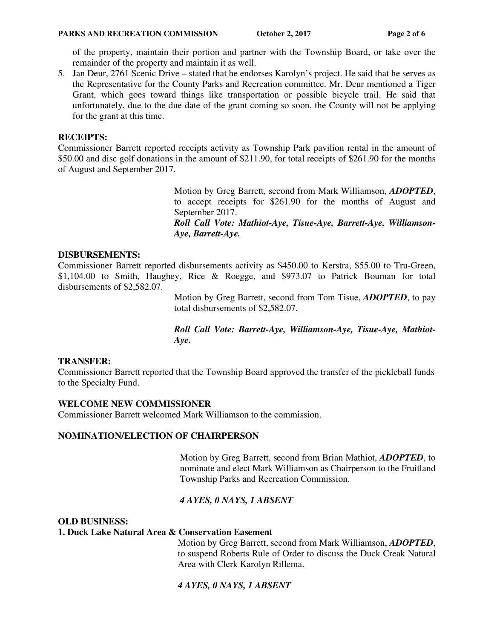of the property, maintain their portion and partner with the Township Board, or take over the remainder of the property and maintain it as well.

5. Jan Deur, 2761 Scenic Drive – stated that he endorses Karolyn's project. He said that he serves as the Representative for the County Parks and Recreation committee. Mr. Deur mentioned a Tiger Grant, which goes toward things like transportation or possible bicycle trail. He said that unfortunately, due to the due date of the grant coming so soon, the County will not be applying for the grant at this time.

#### **RECEIPTS:**

Commissioner Barrett reported receipts activity as Township Park pavilion rental in the amount of \$50.00 and disc golf donations in the amount of \$211.90, for total receipts of \$261.90 for the months of August and September 2017.

> Motion by Greg Barrett, second from Mark Williamson, *ADOPTED*, to accept receipts for \$261.90 for the months of August and September 2017.

> *Roll Call Vote: Mathiot-Aye, Tisue-Aye, Barrett-Aye, Williamson-Aye, Barrett-Aye.*

### **DISBURSEMENTS:**

Commissioner Barrett reported disbursements activity as \$450.00 to Kerstra, \$55.00 to Tru-Green, \$1,104.00 to Smith, Haughey, Rice & Roegge, and \$973.07 to Patrick Bouman for total disbursements of \$2,582.07.

> Motion by Greg Barrett, second from Tom Tisue, *ADOPTED*, to pay total disbursements of \$2,582.07.

> *Roll Call Vote: Barrett-Aye, Williamson-Aye, Tisue-Aye, Mathiot-Aye.*

### **TRANSFER:**

Commissioner Barrett reported that the Township Board approved the transfer of the pickleball funds to the Specialty Fund.

### **WELCOME NEW COMMISSIONER**

Commissioner Barrett welcomed Mark Williamson to the commission.

#### **NOMINATION/ELECTION OF CHAIRPERSON**

Motion by Greg Barrett, second from Brian Mathiot, *ADOPTED*, to nominate and elect Mark Williamson as Chairperson to the Fruitland Township Parks and Recreation Commission.

### *4 AYES, 0 NAYS, 1 ABSENT*

**OLD BUSINESS:** 

#### **1. Duck Lake Natural Area & Conservation Easement**

Motion by Greg Barrett, second from Mark Williamson, *ADOPTED*, to suspend Roberts Rule of Order to discuss the Duck Creak Natural Area with Clerk Karolyn Rillema.

### *4 AYES, 0 NAYS, 1 ABSENT*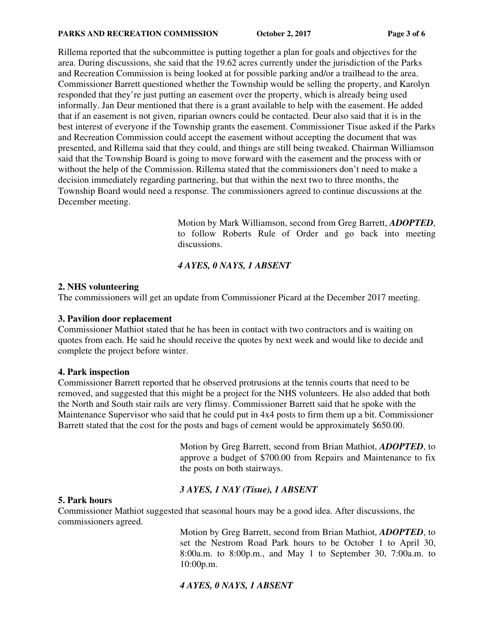#### **PARKS AND RECREATION COMMISSION** October 2, 2017 Page 3 of 6

Rillema reported that the subcommittee is putting together a plan for goals and objectives for the area. During discussions, she said that the 19.62 acres currently under the jurisdiction of the Parks and Recreation Commission is being looked at for possible parking and/or a trailhead to the area. Commissioner Barrett questioned whether the Township would be selling the property, and Karolyn responded that they're just putting an easement over the property, which is already being used informally. Jan Deur mentioned that there is a grant available to help with the easement. He added that if an easement is not given, riparian owners could be contacted. Deur also said that it is in the best interest of everyone if the Township grants the easement. Commissioner Tisue asked if the Parks and Recreation Commission could accept the easement without accepting the document that was presented, and Rillema said that they could, and things are still being tweaked. Chairman Williamson said that the Township Board is going to move forward with the easement and the process with or without the help of the Commission. Rillema stated that the commissioners don't need to make a decision immediately regarding partnering, but that within the next two to three months, the Township Board would need a response. The commissioners agreed to continue discussions at the December meeting.

> Motion by Mark Williamson, second from Greg Barrett, *ADOPTED*, to follow Roberts Rule of Order and go back into meeting discussions.

### *4 AYES, 0 NAYS, 1 ABSENT*

#### **2. NHS volunteering**

The commissioners will get an update from Commissioner Picard at the December 2017 meeting.

#### **3. Pavilion door replacement**

Commissioner Mathiot stated that he has been in contact with two contractors and is waiting on quotes from each. He said he should receive the quotes by next week and would like to decide and complete the project before winter.

#### **4. Park inspection**

Commissioner Barrett reported that he observed protrusions at the tennis courts that need to be removed, and suggested that this might be a project for the NHS volunteers. He also added that both the North and South stair rails are very flimsy. Commissioner Barrett said that he spoke with the Maintenance Supervisor who said that he could put in 4x4 posts to firm them up a bit. Commissioner Barrett stated that the cost for the posts and bags of cement would be approximately \$650.00.

> Motion by Greg Barrett, second from Brian Mathiot, *ADOPTED*, to approve a budget of \$700.00 from Repairs and Maintenance to fix the posts on both stairways.

### *3 AYES, 1 NAY (Tisue), 1 ABSENT*

#### **5. Park hours**

Commissioner Mathiot suggested that seasonal hours may be a good idea. After discussions, the commissioners agreed.

> Motion by Greg Barrett, second from Brian Mathiot, *ADOPTED*, to set the Nestrom Road Park hours to be October 1 to April 30, 8:00a.m. to 8:00p.m., and May 1 to September 30, 7:00a.m. to 10:00p.m.

# *4 AYES, 0 NAYS, 1 ABSENT*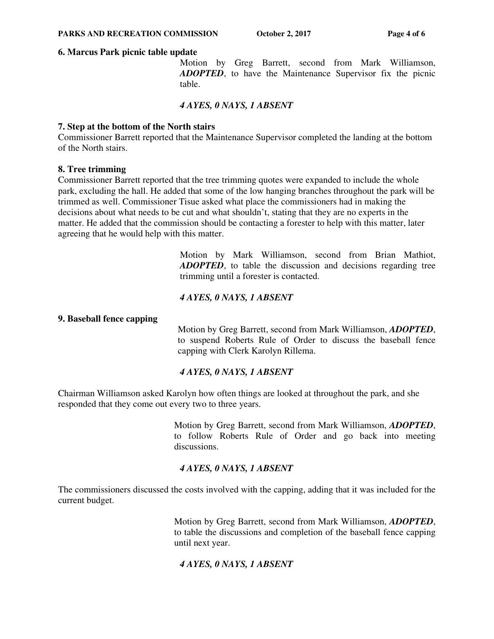#### **6. Marcus Park picnic table update**

 Motion by Greg Barrett, second from Mark Williamson, *ADOPTED*, to have the Maintenance Supervisor fix the picnic table.

#### *4 AYES, 0 NAYS, 1 ABSENT*

#### **7. Step at the bottom of the North stairs**

Commissioner Barrett reported that the Maintenance Supervisor completed the landing at the bottom of the North stairs.

#### **8. Tree trimming**

Commissioner Barrett reported that the tree trimming quotes were expanded to include the whole park, excluding the hall. He added that some of the low hanging branches throughout the park will be trimmed as well. Commissioner Tisue asked what place the commissioners had in making the decisions about what needs to be cut and what shouldn't, stating that they are no experts in the matter. He added that the commission should be contacting a forester to help with this matter, later agreeing that he would help with this matter.

> Motion by Mark Williamson, second from Brian Mathiot, *ADOPTED*, to table the discussion and decisions regarding tree trimming until a forester is contacted.

### *4 AYES, 0 NAYS, 1 ABSENT*

#### **9. Baseball fence capping**

Motion by Greg Barrett, second from Mark Williamson, *ADOPTED*, to suspend Roberts Rule of Order to discuss the baseball fence capping with Clerk Karolyn Rillema.

### *4 AYES, 0 NAYS, 1 ABSENT*

Chairman Williamson asked Karolyn how often things are looked at throughout the park, and she responded that they come out every two to three years.

> Motion by Greg Barrett, second from Mark Williamson, *ADOPTED*, to follow Roberts Rule of Order and go back into meeting discussions.

### *4 AYES, 0 NAYS, 1 ABSENT*

The commissioners discussed the costs involved with the capping, adding that it was included for the current budget.

> Motion by Greg Barrett, second from Mark Williamson, *ADOPTED*, to table the discussions and completion of the baseball fence capping until next year.

# *4 AYES, 0 NAYS, 1 ABSENT*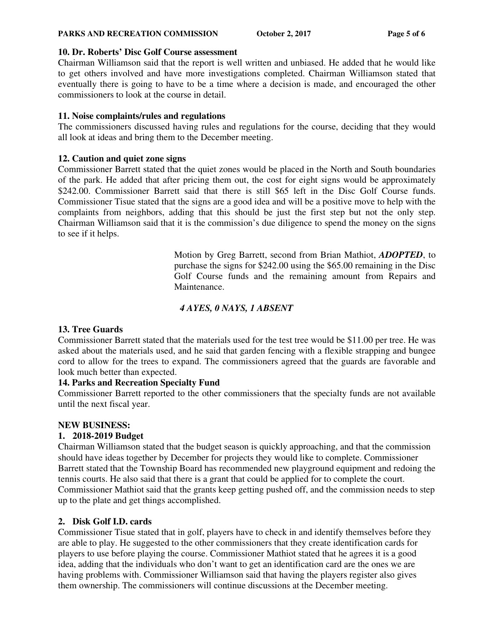#### **PARKS AND RECREATION COMMISSION** October 2, 2017 Page 5 of 6

#### **10. Dr. Roberts' Disc Golf Course assessment**

Chairman Williamson said that the report is well written and unbiased. He added that he would like to get others involved and have more investigations completed. Chairman Williamson stated that eventually there is going to have to be a time where a decision is made, and encouraged the other commissioners to look at the course in detail.

### **11. Noise complaints/rules and regulations**

The commissioners discussed having rules and regulations for the course, deciding that they would all look at ideas and bring them to the December meeting.

#### **12. Caution and quiet zone signs**

Commissioner Barrett stated that the quiet zones would be placed in the North and South boundaries of the park. He added that after pricing them out, the cost for eight signs would be approximately \$242.00. Commissioner Barrett said that there is still \$65 left in the Disc Golf Course funds. Commissioner Tisue stated that the signs are a good idea and will be a positive move to help with the complaints from neighbors, adding that this should be just the first step but not the only step. Chairman Williamson said that it is the commission's due diligence to spend the money on the signs to see if it helps.

> Motion by Greg Barrett, second from Brian Mathiot, *ADOPTED*, to purchase the signs for \$242.00 using the \$65.00 remaining in the Disc Golf Course funds and the remaining amount from Repairs and Maintenance.

# *4 AYES, 0 NAYS, 1 ABSENT*

### **13. Tree Guards**

Commissioner Barrett stated that the materials used for the test tree would be \$11.00 per tree. He was asked about the materials used, and he said that garden fencing with a flexible strapping and bungee cord to allow for the trees to expand. The commissioners agreed that the guards are favorable and look much better than expected.

# **14. Parks and Recreation Specialty Fund**

Commissioner Barrett reported to the other commissioners that the specialty funds are not available until the next fiscal year.

#### **NEW BUSINESS:**

### **1. 2018-2019 Budget**

Chairman Williamson stated that the budget season is quickly approaching, and that the commission should have ideas together by December for projects they would like to complete. Commissioner Barrett stated that the Township Board has recommended new playground equipment and redoing the tennis courts. He also said that there is a grant that could be applied for to complete the court. Commissioner Mathiot said that the grants keep getting pushed off, and the commission needs to step up to the plate and get things accomplished.

### **2. Disk Golf I.D. cards**

Commissioner Tisue stated that in golf, players have to check in and identify themselves before they are able to play. He suggested to the other commissioners that they create identification cards for players to use before playing the course. Commissioner Mathiot stated that he agrees it is a good idea, adding that the individuals who don't want to get an identification card are the ones we are having problems with. Commissioner Williamson said that having the players register also gives them ownership. The commissioners will continue discussions at the December meeting.